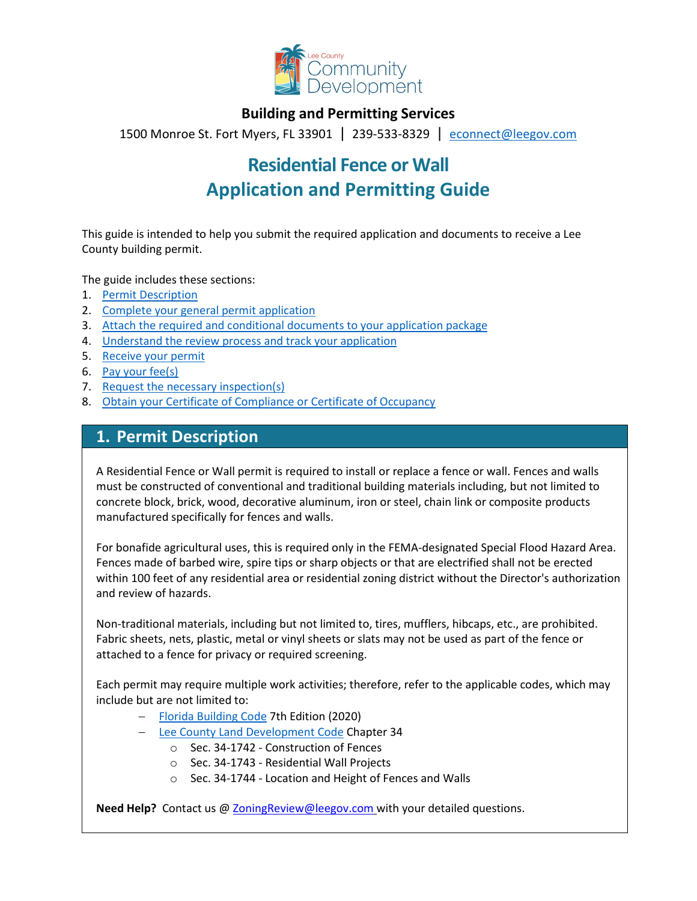

### **Building and Permitting Services**

1500 Monroe St. Fort Myers, FL 33901 | 239-533-8329 |[econnect@leegov.com](mailto:econnect@leegov.com)

# **Residential Fence or Wall Application and Permitting Guide**

This guide is intended to help you submit the required application and documents to receive a Lee County building permit.

The guide includes these sections:

- 1. [Permit Description](#page-0-0)
- 2. [Complete your general permit application](#page-1-0)
- 3. [Attach the required and conditional documents to your application package](#page-3-0)
- 4. [Understand the review process and track your application](#page-5-0)
- 5. [Receive your permit](#page-5-1)
- 6. [Pay your fee\(s\)](#page-6-0)
- 7. [Request the necessary inspection\(s\)](#page-6-1)
- 8. [Obtain your Certificate of Compliance or Certificate of Occupancy](#page-7-0)

### <span id="page-0-0"></span>**1. Permit Description**

A Residential Fence or Wall permit is required to install or replace a fence or wall. Fences and walls must be constructed of conventional and traditional building materials including, but not limited to concrete block, brick, wood, decorative aluminum, iron or steel, chain link or composite products manufactured specifically for fences and walls.

For bonafide agricultural uses, this is required only in the FEMA-designated Special Flood Hazard Area. Fences made of barbed wire, spire tips or sharp objects or that are electrified shall not be erected within 100 feet of any residential area or residential zoning district without the Director's authorization and review of hazards.

Non-traditional materials, including but not limited to, tires, mufflers, hibcaps, etc., are prohibited. Fabric sheets, nets, plastic, metal or vinyl sheets or slats may not be used as part of the fence or attached to a fence for privacy or required screening.

Each permit may require multiple work activities; therefore, refer to the applicable codes, which may include but are not limited to:

- − [Florida Building Code](https://codes.iccsafe.org/codes/florida) 7th Edition (2020)
- − [Lee County Land Development Code](https://library.municode.com/fl/lee_county/codes/land_development_code?nodeId=LADECOLECOFL) Chapter 34
	- o Sec. 34-1742 Construction of Fences
	- o Sec. 34-1743 Residential Wall Projects
	- o Sec. 34-1744 Location and Height of Fences and Walls

**Need Help?** Contact us [@ ZoningReview@leegov.com](mailto:ZoningReview@leegov.com) with your detailed questions.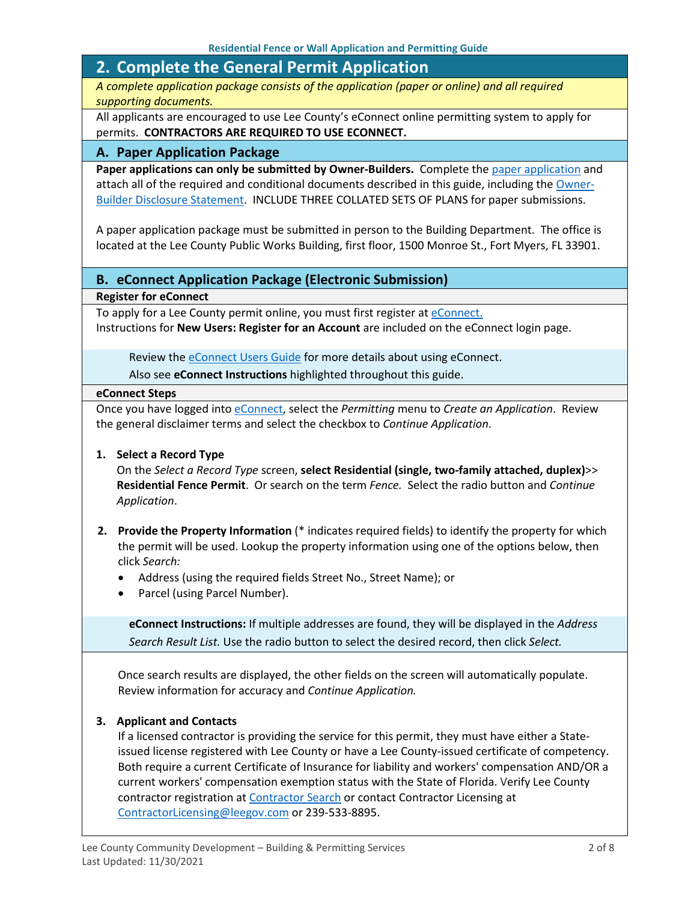## <span id="page-1-0"></span>**2. Complete the General Permit Application**

*A complete application package consists of the application (paper or online) and all required supporting documents.*

All applicants are encouraged to use Lee County's eConnect online permitting system to apply for permits. **CONTRACTORS ARE REQUIRED TO USE ECONNECT.**

#### **A. Paper Application Package**

Paper applications can only be submitted by Owner-Builders. Complete the [paper application](https://www.leegov.com/dcd/PermittingDocs/FenceApplication.pdf) and attach all of the required and conditional documents described in this guide, including the [Owner-](https://www.leegov.com/dcd/PermittingDocs/OwnerBldrDisclosure.pdf)[Builder Disclosure Statement.](https://www.leegov.com/dcd/PermittingDocs/OwnerBldrDisclosure.pdf) INCLUDE THREE COLLATED SETS OF PLANS for paper submissions.

A paper application package must be submitted in person to the Building Department. The office is located at the Lee County Public Works Building, first floor, 1500 Monroe St., Fort Myers, FL 33901.

#### **B. eConnect Application Package (Electronic Submission)**

**Register for eConnect**

To apply for a Lee County permit online, you must first register at *eConnect*. Instructions for **New Users: Register for an Account** are included on the eConnect login page.

Review th[e eConnect Users Guide](https://www.leegov.com/dcd/Documents/eServ/eConnect/eServicesGuide.pdf) for more details about using eConnect.

Also see **eConnect Instructions** highlighted throughout this guide.

#### **eConnect Steps**

Once you have logged into [eConnect,](https://accelaaca.leegov.com/aca/) select the *Permitting* menu to *Create an Application*. Review the general disclaimer terms and select the checkbox to *Continue Application*.

#### **1. Select a Record Type**

On the *Select a Record Type* screen, **select Residential (single, two-family attached, duplex)**>> **Residential Fence Permit**. Or search on the term *Fence.* Select the radio button and *Continue Application*.

- **2. Provide the Property Information** (\* indicates required fields) to identify the property for which the permit will be used. Lookup the property information using one of the options below, then click *Search:*
	- Address (using the required fields Street No., Street Name); or
	- Parcel (using Parcel Number).

**eConnect Instructions:** If multiple addresses are found, they will be displayed in the *Address Search Result List.* Use the radio button to select the desired record, then click *Select.*

Once search results are displayed, the other fields on the screen will automatically populate. Review information for accuracy and *Continue Application.*

#### **3. Applicant and Contacts**

If a licensed contractor is providing the service for this permit, they must have either a Stateissued license registered with Lee County or have a Lee County-issued certificate of competency. Both require a current Certificate of Insurance for liability and workers' compensation AND/OR a current workers' compensation exemption status with the State of Florida. Verify Lee County contractor registration at [Contractor Search](https://www.leegov.com/dcd/ContLic/ActCont) or contact Contractor Licensing at [ContractorLicensing@leegov.com](mailto:ContractorLicensing@leegov.com) or 239-533-8895.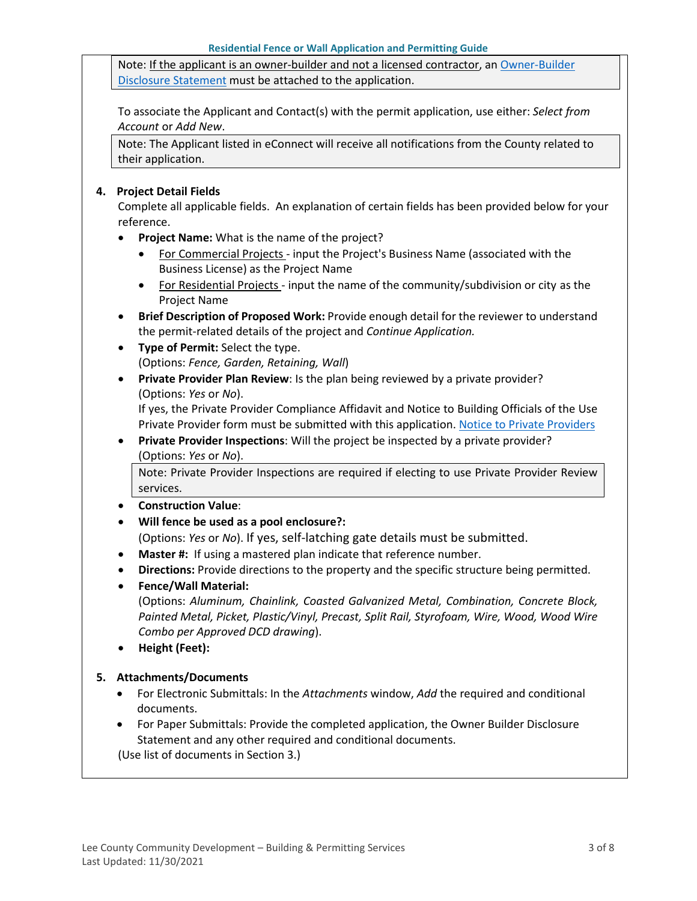Note: If the applicant is an owner-builder and not a licensed contractor, a[n Owner-Builder](https://www.leegov.com/dcd/PermittingDocs/OwnerBldrDisclosure.pdf)  [Disclosure Statement](https://www.leegov.com/dcd/PermittingDocs/OwnerBldrDisclosure.pdf) must be attached to the application.

To associate the Applicant and Contact(s) with the permit application, use either: *Select from Account* or *Add New*.

Note: The Applicant listed in eConnect will receive all notifications from the County related to their application.

#### **4. Project Detail Fields**

Complete all applicable fields. An explanation of certain fields has been provided below for your reference.

- **Project Name:** What is the name of the project?
	- For Commercial Projects input the Project's Business Name (associated with the Business License) as the Project Name
	- For Residential Projects input the name of the community/subdivision or city as the Project Name
- **Brief Description of Proposed Work:** Provide enough detail for the reviewer to understand the permit-related details of the project and *Continue Application.*
- **Type of Permit:** Select the type. (Options: *Fence, Garden, Retaining, Wall*)
- **Private Provider Plan Review**: Is the plan being reviewed by a private provider? (Options: *Yes* or *No*).

If yes, the Private Provider Compliance Affidavit and Notice to Building Officials of the Use Private Provider form must be submitted with this application. [Notice to Private Providers](https://www.floridabuilding.org/fbc/committees/Private_Providers/Private_Providers.htm)

• **Private Provider Inspections**: Will the project be inspected by a private provider? (Options: *Yes* or *No*).

Note: Private Provider Inspections are required if electing to use Private Provider Review services.

- **Construction Value**:
- **Will fence be used as a pool enclosure?:**

(Options: *Yes* or *No*). If yes, self-latching gate details must be submitted.

- **Master #:**If using a mastered plan indicate that reference number.
- **Directions:** Provide directions to the property and the specific structure being permitted.
- **Fence/Wall Material:**

(Options: *Aluminum, Chainlink, Coasted Galvanized Metal, Combination, Concrete Block, Painted Metal, Picket, Plastic/Vinyl, Precast, Split Rail, Styrofoam, Wire, Wood, Wood Wire Combo per Approved DCD drawing*).

• **Height (Feet):**

#### **5. Attachments/Documents**

- For Electronic Submittals: In the *Attachments* window, *Add* the required and conditional documents.
- For Paper Submittals: Provide the completed application, the Owner Builder Disclosure Statement and any other required and conditional documents.

(Use list of documents in Section 3.)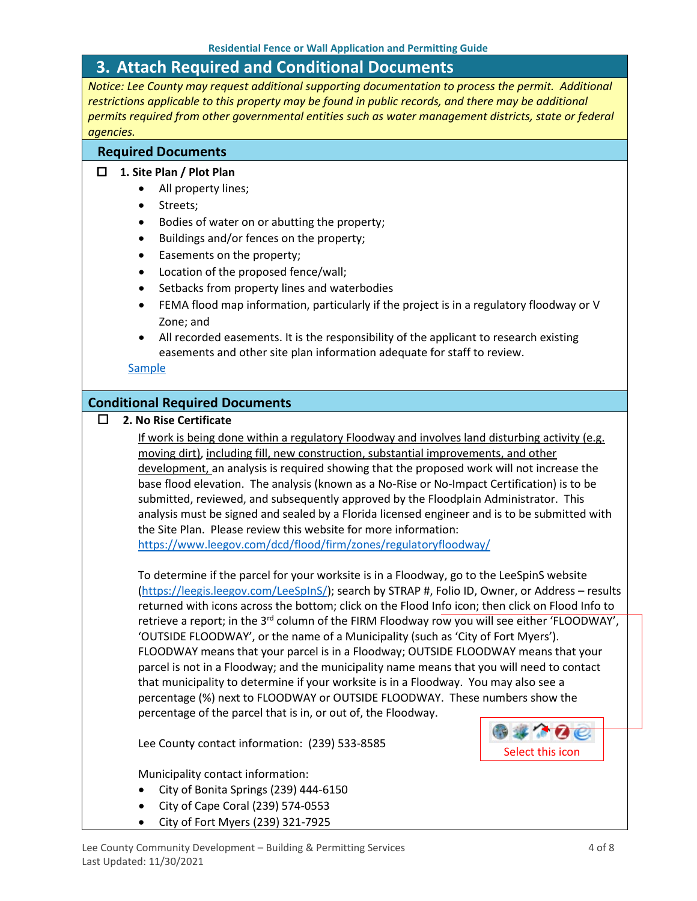### <span id="page-3-0"></span>**3. Attach Required and Conditional Documents**

*Notice: Lee County may request additional supporting documentation to process the permit. Additional restrictions applicable to this property may be found in public records, and there may be additional permits required from other governmental entities such as water management districts, state or federal agencies.*

#### **Required Documents**

#### **1. Site Plan / Plot Plan**

- All property lines;
- Streets;
- Bodies of water on or abutting the property;
- Buildings and/or fences on the property;
- Easements on the property;
- Location of the proposed fence/wall;
- Setbacks from property lines and waterbodies
- FEMA flood map information, particularly if the project is in a regulatory floodway or V Zone; and
- All recorded easements. It is the responsibility of the applicant to research existing easements and other site plan information adequate for staff to review.

#### **[Sample](https://www.leegov.com/dcd/PermittingDocs/ResFenceSitePlanSample.pdf)**

#### **Conditional Required Documents**

**2. No Rise Certificate**

If work is being done within a regulatory Floodway and involves land disturbing activity (e.g. moving dirt), including fill, new construction, substantial improvements, and other development, an analysis is required showing that the proposed work will not increase the base flood elevation. The analysis (known as a No-Rise or No-Impact Certification) is to be submitted, reviewed, and subsequently approved by the Floodplain Administrator. This analysis must be signed and sealed by a Florida licensed engineer and is to be submitted with the Site Plan. Please review this website for more information:

<https://www.leegov.com/dcd/flood/firm/zones/regulatoryfloodway/>

To determine if the parcel for your worksite is in a Floodway, go to the LeeSpinS website [\(https://leegis.leegov.com/LeeSpInS/\)](https://leegis.leegov.com/LeeSpInS/); search by STRAP #, Folio ID, Owner, or Address – results returned with icons across the bottom; click on the Flood Info icon; then click on Flood Info to retrieve a report; in the 3<sup>rd</sup> column of the FIRM Floodway row you will see either 'FLOODWAY', 'OUTSIDE FLOODWAY', or the name of a Municipality (such as 'City of Fort Myers'). FLOODWAY means that your parcel is in a Floodway; OUTSIDE FLOODWAY means that your parcel is not in a Floodway; and the municipality name means that you will need to contact that municipality to determine if your worksite is in a Floodway. You may also see a percentage (%) next to FLOODWAY or OUTSIDE FLOODWAY. These numbers show the percentage of the parcel that is in, or out of, the Floodway.

Lee County contact information: (239) 533-8585

Municipality contact information:

- City of Bonita Springs (239) 444-6150
- City of Cape Coral (239) 574-0553
- City of Fort Myers (239) 321-7925

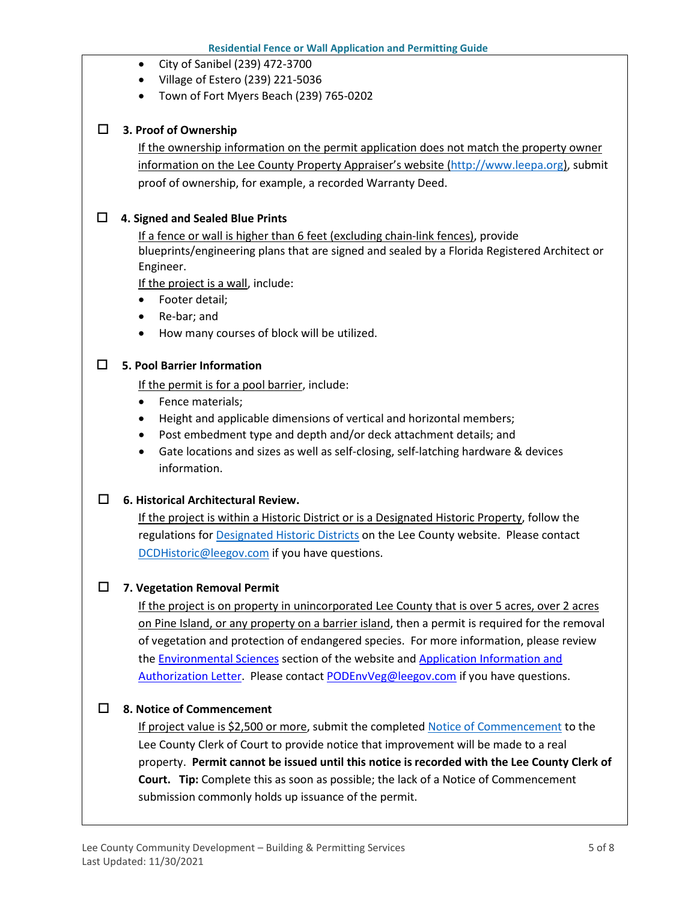- City of Sanibel (239) 472-3700
- Village of Estero (239) 221-5036
- Town of Fort Myers Beach (239) 765-0202

#### **3. Proof of Ownership**

If the ownership information on the permit application does not match the property owner information on the Lee County Property Appraiser's website [\(http://www.leepa.org\)](http://www.leepa.org/), submit proof of ownership, for example, a recorded Warranty Deed.

#### **4. Signed and Sealed Blue Prints**

If a fence or wall is higher than 6 feet (excluding chain-link fences), provide blueprints/engineering plans that are signed and sealed by a Florida Registered Architect or Engineer.

If the project is a wall, include:

- Footer detail;
- Re-bar; and
- How many courses of block will be utilized.

#### **5. Pool Barrier Information**

If the permit is for a pool barrier, include:

- Fence materials;
- Height and applicable dimensions of vertical and horizontal members;
- Post embedment type and depth and/or deck attachment details; and
- Gate locations and sizes as well as self-closing, self-latching hardware & devices information.

#### **6. Historical Architectural Review.**

If the project is within a Historic District or is a Designated Historic Property, follow the regulations for **Designated Historic Districts** on the Lee County website. Please contact [DCDHistoric@leegov.com](mailto:DCDHistoric@leegov.com) if you have questions.

#### **7. Vegetation Removal Permit**

If the project is on property in unincorporated Lee County that is over 5 acres, over 2 acres on Pine Island, or any property on a barrier island, then a permit is required for the removal of vegetation and protection of endangered species. For more information, please review the [Environmental Sciences](https://www.leegov.com/dcd/es) section of the website and [Application Information and](https://www.leegov.com/dcd/es/apps)  [Authorization Letter.](https://www.leegov.com/dcd/es/apps) Please contact [PODEnvVeg@leegov.com](mailto:PODEnvVeg@leegov.com) if you have questions.

#### **8. Notice of Commencement**

If project value is \$2,500 or more, submit the completed [Notice of Commencement](https://www.leegov.com/dcd/PermittingDocs/NoticeofCommencement.pdf) to the Lee County Clerk of Court to provide notice that improvement will be made to a real property. **Permit cannot be issued until this notice is recorded with the Lee County Clerk of Court. Tip:** Complete this as soon as possible; the lack of a Notice of Commencement submission commonly holds up issuance of the permit.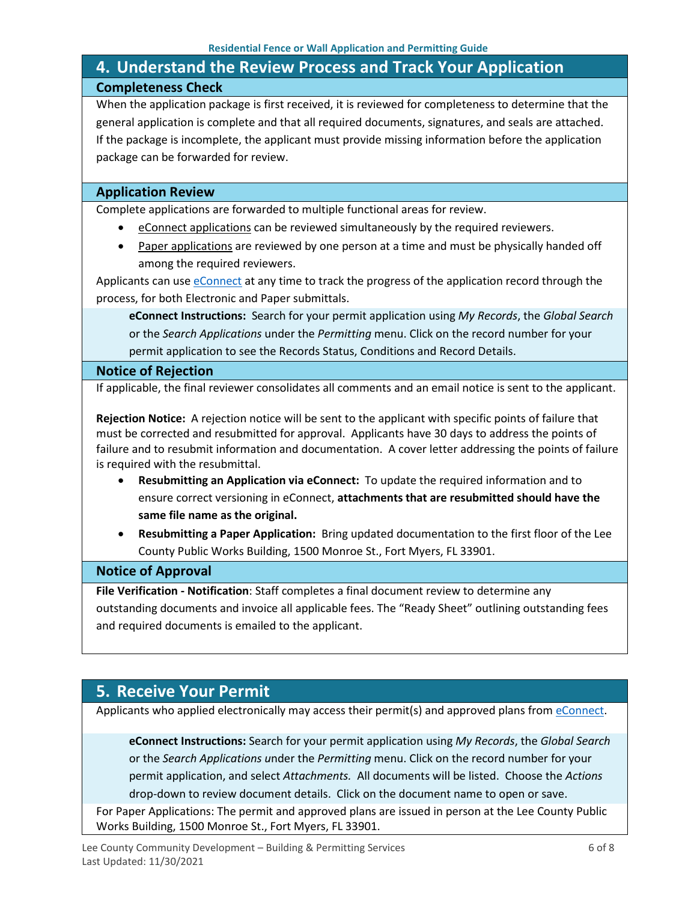# <span id="page-5-0"></span>**4. Understand the Review Process and Track Your Application Completeness Check**

When the application package is first received, it is reviewed for completeness to determine that the general application is complete and that all required documents, signatures, and seals are attached. If the package is incomplete, the applicant must provide missing information before the application package can be forwarded for review.

#### **Application Review**

Complete applications are forwarded to multiple functional areas for review.

- eConnect applications can be reviewed simultaneously by the required reviewers.
- Paper applications are reviewed by one person at a time and must be physically handed off among the required reviewers.

Applicants can use [eConnect](https://accelaaca.leegov.com/aca/) at any time to track the progress of the application record through the process, for both Electronic and Paper submittals.

**eConnect Instructions:** Search for your permit application using *My Records*, the *Global Search* or the *Search Applications* under the *Permitting* menu. Click on the record number for your permit application to see the Records Status, Conditions and Record Details.

#### **Notice of Rejection**

If applicable, the final reviewer consolidates all comments and an email notice is sent to the applicant.

**Rejection Notice:** A rejection notice will be sent to the applicant with specific points of failure that must be corrected and resubmitted for approval. Applicants have 30 days to address the points of failure and to resubmit information and documentation. A cover letter addressing the points of failure is required with the resubmittal.

- **Resubmitting an Application via eConnect:** To update the required information and to ensure correct versioning in eConnect, **attachments that are resubmitted should have the same file name as the original.**
- **Resubmitting a Paper Application:** Bring updated documentation to the first floor of the Lee County Public Works Building, 1500 Monroe St., Fort Myers, FL 33901.

#### **Notice of Approval**

**File Verification - Notification**: Staff completes a final document review to determine any outstanding documents and invoice all applicable fees. The "Ready Sheet" outlining outstanding fees and required documents is emailed to the applicant.

### <span id="page-5-1"></span>**5. Receive Your Permit**

Applicants who applied electronically may access their permit(s) and approved plans from [eConnect.](https://accelaaca.leegov.com/aca/)

**eConnect Instructions:** Search for your permit application using *My Records*, the *Global Search* or the *Search Applications u*nder the *Permitting* menu. Click on the record number for your permit application, and select *Attachments.* All documents will be listed. Choose the *Actions*  drop-down to review document details. Click on the document name to open or save.

For Paper Applications: The permit and approved plans are issued in person at the Lee County Public Works Building, 1500 Monroe St., Fort Myers, FL 33901.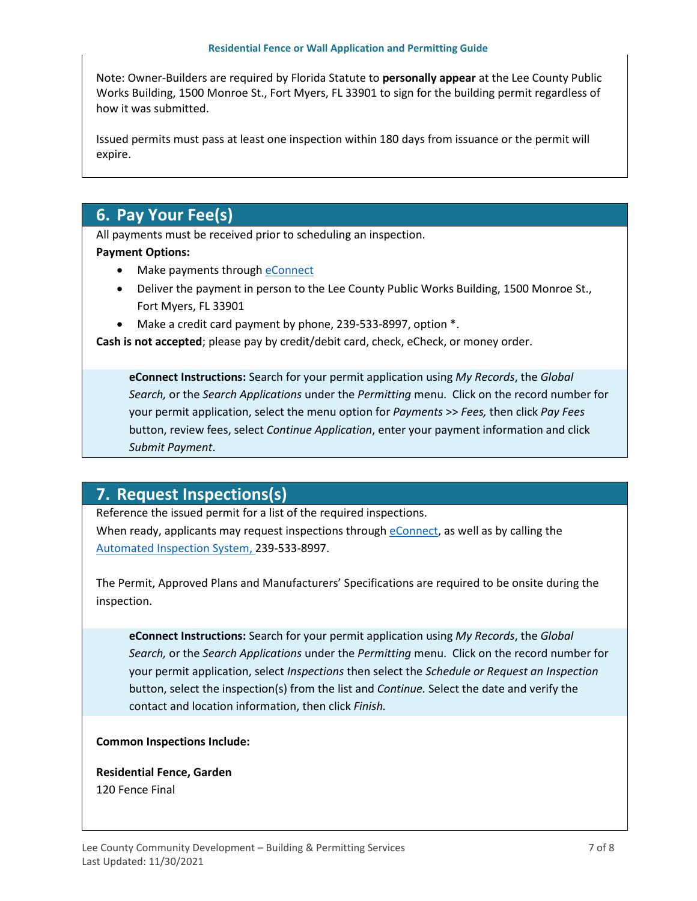Note: Owner-Builders are required by Florida Statute to **personally appear** at the Lee County Public Works Building, 1500 Monroe St., Fort Myers, FL 33901 to sign for the building permit regardless of how it was submitted.

Issued permits must pass at least one inspection within 180 days from issuance or the permit will expire.

# <span id="page-6-0"></span>**6. Pay Your Fee(s)**

All payments must be received prior to scheduling an inspection.

#### **Payment Options:**

- Make payments through [eConnect](https://accelaaca.leegov.com/aca/)
- Deliver the payment in person to the Lee County Public Works Building, 1500 Monroe St., Fort Myers, FL 33901
- Make a credit card payment by phone, 239-533-8997, option \*.

**Cash is not accepted**; please pay by credit/debit card, check, eCheck, or money order.

**eConnect Instructions:** Search for your permit application using *My Records*, the *Global Search,* or the *Search Applications* under the *Permitting* menu. Click on the record number for your permit application, select the menu option for *Payments* >> *Fees,* then click *Pay Fees*  button, review fees, select *Continue Application*, enter your payment information and click *Submit Payment*.

## <span id="page-6-1"></span>**7. Request Inspections(s)**

Reference the issued permit for a list of the required inspections.

When ready, applicants may request inspections through [eConnect,](https://accelaaca.leegov.com/aca/) as well as by calling the [Automated Inspection System,](https://www.leegov.com/dcd/BldPermitServ/Insp/AutoInsp) 239-533-8997.

The Permit, Approved Plans and Manufacturers' Specifications are required to be onsite during the inspection.

**eConnect Instructions:** Search for your permit application using *My Records*, the *Global Search,* or the *Search Applications* under the *Permitting* menu. Click on the record number for your permit application, select *Inspections* then select the *Schedule or Request an Inspection* button, select the inspection(s) from the list and *Continue.* Select the date and verify the contact and location information, then click *Finish.*

#### **Common Inspections Include:**

**Residential Fence, Garden** 120 Fence Final